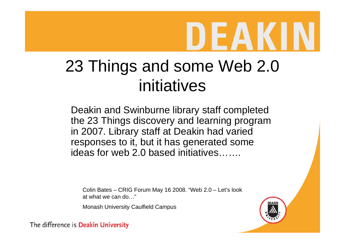# I) I-A K

)EAKI

### 23 Things and some Web 2.0 initiatives

Deakin and Swinburne library staff completed the 23 Things discovery and learning program in 2007. Library staff at Deakin had varied responses to it, but it has generated some ideas for web 2.0 based initiatives…….

Colin Bates – CRIG Forum May 16 2008. "Web 2.0 – Let's look at what we can do…"

Monash University Caulfield Campus

The difference is Deakin University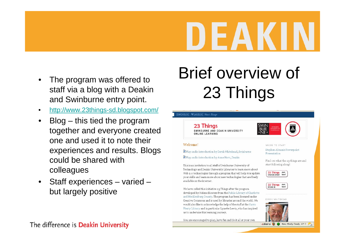- • The program was offered to staff via a blog with a Deakin and Swinburne entry point.
- $\bullet$ http://www.23things-sd.blogspot.com/
- • Blog – this tied the program together and everyone created one and used it to note their experiences and results. Blogs could be shared with colleagues
- $\bullet$  Staff experiences – varied – but largely positive

## Brief overview of 23 Things

### EARCH BLOG | TFLAG BLOG | Next Blogs

23 Things SWINBURNE AND DEAKIN UNIVERSITY **ONLINE LEARNING** 

### Welcome

Play audio introduction by Derek Whitehead, Swinburne Play audio introduction by Anne Horn, Deakin

This is an invitation to all staff of Swinburne University of Technology and Deakin University Libraries to learn more about Web 2.0 technologies through a program that will help you update your skills and learn more about new technologies that are freely available on the internet.

We have called this initiative 23 Things after the program developed by Helene Blowers from the Public Library of Charlotte and Mecklenburg County. The program has been licensed under Creative Commons and is used by libraries around the world. We would also like to acknowledge the help of the staff at the Yarra Plenty Library and in particular Lynette Lewis, who has inspired us to undertake this learning journey.

You are encouraged to play, have fun and do it all at your own



### WHERE TO START

Stephen Abram's Powerpoint Presentation

Find out what the 23 things are and start following along!







DEREK WHITEHEAD

zotero Now: Mostly Cloudy, 13°C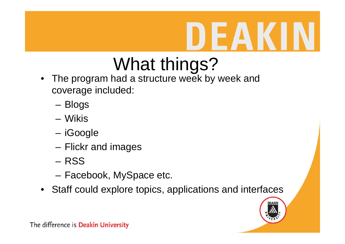# What things?

- The program had a structure week by week and coverage included:
	- Blogs
	- Wikis
	- iGoogle
	- Flickr and images
	- RSS
	- Facebook, MySpace etc.
- Staff could explore topics, applications and interfaces

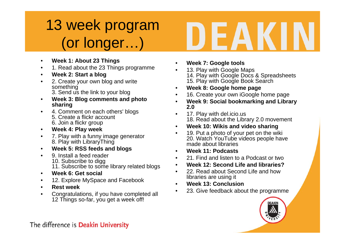### 13 week program (or longer…)

- $\bullet$ **Week 1: About 23 Things**
- •1. Read about the 23 Things programme
- $\bullet$ **Week 2: Start a blog**
- • 2. Create your own blog and write something 3. Send us the link to your blog
- • **Week 3: Blog comments and photo sharing**
- • 4. Comment on each others' blogs 5. Create a flickr account 6. Join a flickr group
- $\bullet$ **Week 4: Play week**
- $\bullet$  7. Play with a funny image generator 8. Play with LibraryThing
- •**Week 5: RSS feeds and blogs**
- • 9. Install a feed reader 10. Subscribe to digg 11. Subscribe to some library related blogs
- •**Week 6: Get social**
- •12. Explore MySpace and Facebook
- •**Rest week**
- • Congratulations, if you have completed all 12 Things so-far, you get a week off!
- •**Week 7: Google tools**
- • 13. Play with Google Maps 14. Play with Google Docs & Spreadsheets 15. Play with Google Book Search
- •**Week 8: Google home page**
- •16. Create your own iGoogle home page
- • **Week 9: Social bookmarking and Library 2.0**
- • 17. Play with del.icio.us 18. Read about the Library 2.0 movement
- •**Week 10: Wikis and video sharing**
- • 19. Put a photo of your pet on the wiki 20. Watch YouTube videos people have made about libraries
- •**Week 11: Podcasts**
- •21. Find and listen to a Podcast or two
- •**Week 12: Second Life and libraries?**
- • 22. Read about Second Life and how libraries are using it
- •**Week 13: Conclusion**
- •23. Give feedback about the programme



The difference is Deakin University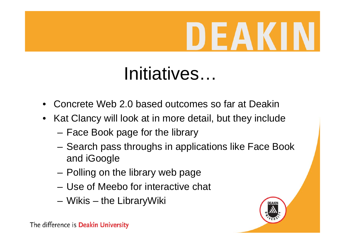# I) I A K

## Initiatives…

- •Concrete Web 2.0 based outcomes so far at Deakin
- Kat Clancy will look at in more detail, but they include
	- Face Book page for the library
	- Search pass throughs in applications like Face Book and iGoogle
	- Polling on the library web page
	- Use of Meebo for interactive chat
	- Wikis the LibraryWiki

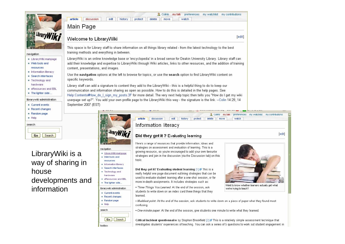|                                                                            | & Colinb<br>my talk<br>preferences<br>my watchlist<br>my contributions<br>article<br>discussion<br>edit<br>protect<br>delete<br>watch<br>history<br>move                                                                                                                                                                                                       |  |  |  |  |  |
|----------------------------------------------------------------------------|----------------------------------------------------------------------------------------------------------------------------------------------------------------------------------------------------------------------------------------------------------------------------------------------------------------------------------------------------------------|--|--|--|--|--|
|                                                                            | Main Page                                                                                                                                                                                                                                                                                                                                                      |  |  |  |  |  |
|                                                                            | [edit]<br>Welcome to LibraryWiki                                                                                                                                                                                                                                                                                                                               |  |  |  |  |  |
| navigation                                                                 | This space is for Library staff to share information on all things library related - from the latest technology to the best<br>training methods and everything in between.                                                                                                                                                                                     |  |  |  |  |  |
| Library/Viki mainpage<br>$\blacksquare$ Web tools and<br>resources         | LibraryWiki is an online knowledge base or 'encyclopedia' in a broad sense for Deakin University Library. Library staff can<br>add their knowledge and expertise to LibraryWiki through Wiki articles, links to other resources, and the addition of training<br>content, presentations, and images.                                                           |  |  |  |  |  |
| $\blacksquare$ Information literacy<br>Search interfaces<br>Technology and | Use the navigation options at the left to browse for topics, or use the search option to find LibraryWiki content on<br>specific keywords.                                                                                                                                                                                                                     |  |  |  |  |  |
| hardware<br>eResources and EBL<br>$\blacksquare$ The lighter side          | Library staff can add a signature to content they add to the LibraryWiki - this is a helpful thing to do to keep our<br>communication and information sharing as open as possible. How to do this is detailed in the help pages. See<br>Help:Contents#How do I sign my posts.3F for more detail. The very next help topic then tells you "How do I get my wiki |  |  |  |  |  |
| librarywiki administration                                                 | userpage set up?". You add your own profile page to the LibraryWiki this way - the signature is the link. --Colin 14:29, 14                                                                                                                                                                                                                                    |  |  |  |  |  |
| $\blacksquare$ Current events<br>Recent changes                            | September 2007 (EST)                                                                                                                                                                                                                                                                                                                                           |  |  |  |  |  |
| Random page<br>H                                                           | & Colinb<br>my talk<br>preferences<br><b>ITIV</b><br>article<br>edit<br>discussion<br>history<br>protect<br>delete<br>watch<br>move                                                                                                                                                                                                                            |  |  |  |  |  |
| search                                                                     | Information literacy                                                                                                                                                                                                                                                                                                                                           |  |  |  |  |  |
| Go<br>Search                                                               | Did they get it? Evaluating learning                                                                                                                                                                                                                                                                                                                           |  |  |  |  |  |

LibraryWiki is a way of sharing in house developments and information

| LibraryW                                                                                                                            | Did they get it? Evaluating learning                                                                                                                                                                                                                                                      | [edit]                                                                    |
|-------------------------------------------------------------------------------------------------------------------------------------|-------------------------------------------------------------------------------------------------------------------------------------------------------------------------------------------------------------------------------------------------------------------------------------------|---------------------------------------------------------------------------|
| navigation<br>Library/Viki mainpage<br>$\blacksquare$ Web tools and<br>resources                                                    | Here's a range of resources that provide information, ideas and<br>strategies on assessment and evaluation of learning. This is a<br>growing resource, so you're encouraged to add your own favourite<br>strategies and join in the discussion (via the Discussion tab) on this<br>topic. |                                                                           |
| Information literacy<br>$\blacksquare$ Search interfaces<br>■ Technology and<br>hardware.<br>eResources and EBL<br>The lighter side | Did they get it? Evaluating student learning $[1]$ of This is a<br>really helpful one page document outlining strategies that can be<br>used to evaluate student learning after a one-shot session, or for<br>more in-depth assignments. It includes strategies such as:                  |                                                                           |
| librarywiki administration<br>$\blacksquare$ Current events<br>Recent changes<br>Random page                                        | . Three Things You Learned: At the end of the session, ask<br>students to write down on an index card three things that they<br>learned.<br>. Muddiest point: At the end of the session, ask students to write down on a piece of paper what they found most                              | Want to know whether learners actually get what<br>we're trying to teach? |
| $H$ Help<br>search                                                                                                                  | confusing.<br>. One-minute paper: At the end of the session, give students one minute to write what they learned.                                                                                                                                                                         |                                                                           |
| Go<br>Search<br>toolbox                                                                                                             | Critical incident questionnaire by Stephen Brookfield [2] $\Phi$ This is a relatively simple assessment technique that<br>investigates students' experiences of teaching. You can ask a series of 5 questions to work out student engagement in                                           |                                                                           |

 $\cdots$ 

watchlist my contributions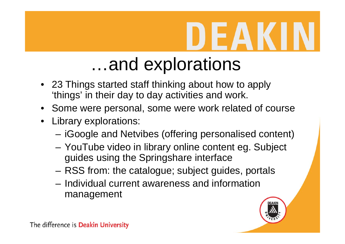# HE Z

## …and explorations

- 23 Things started staff thinking about how to apply 'things' in their day to day activities and work.
- Some were personal, some were work related of course
- • Library explorations:
	- iGoogle and Netvibes (offering personalised content)
	- – YouTube video in library online content eg. Subject guides using the Springshare interface
	- RSS from: the catalogue; subject guides, portals
	- Individual current awareness and information management

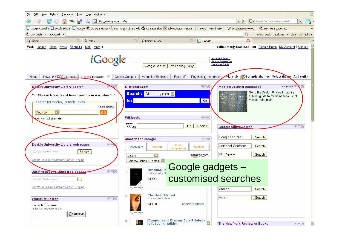| 63<br>Edit<br>Bookmarks Tools<br>Help<br>del.icio.us<br>View<br>History                                                                                                                                                                                         |                                                                                                                                                                                                         |                                                                                                                  |                                                                                                                                                                                                                                                                                                                                |                                                                                                                                          |  |  |  |  |  |
|-----------------------------------------------------------------------------------------------------------------------------------------------------------------------------------------------------------------------------------------------------------------|---------------------------------------------------------------------------------------------------------------------------------------------------------------------------------------------------------|------------------------------------------------------------------------------------------------------------------|--------------------------------------------------------------------------------------------------------------------------------------------------------------------------------------------------------------------------------------------------------------------------------------------------------------------------------|------------------------------------------------------------------------------------------------------------------------------------------|--|--|--|--|--|
| $\mathbb{R}$<br>G http://www.google.com/ig<br>Google Australia - from Australia<br>$\epsilon$<br>$\blacktriangledown$<br>Q.                                                                                                                                     |                                                                                                                                                                                                         |                                                                                                                  |                                                                                                                                                                                                                                                                                                                                |                                                                                                                                          |  |  |  |  |  |
| C Google Australia C Google Scholar C Google C Library Intranet ® Main Page - Library Wiki M Col Bates Blog C Subject Guides - Sign In C Search Oxford Refer W Wikipedia: How to edit @ DSO WIKI guides etc<br>$\rightarrow$                                    |                                                                                                                                                                                                         |                                                                                                                  |                                                                                                                                                                                                                                                                                                                                |                                                                                                                                          |  |  |  |  |  |
| ◎<br>■ LibX Deakin ▼ Keyword ▼<br>Search Deakin Catalogue . Clear . X Scholar                                                                                                                                                                                   |                                                                                                                                                                                                         |                                                                                                                  |                                                                                                                                                                                                                                                                                                                                |                                                                                                                                          |  |  |  |  |  |
| olinb<br>D Library                                                                                                                                                                                                                                              | Library Intranet                                                                                                                                                                                        | <b>G</b> iGoogle                                                                                                 | $\Xi$                                                                                                                                                                                                                                                                                                                          |                                                                                                                                          |  |  |  |  |  |
| Shopping<br>Web<br>Images<br>Maps News<br>Mail<br>more <b>v</b><br><i>i</i> Google<br>News and RSS Journals   Library research   →<br>Home<br>Deakin University Library Search<br><b>IX</b><br>**** All search results and links open in a new window ****      | <b>Google Search</b><br>Google Gadgets<br><b>Australian Business</b><br>Dictionary.com<br><b>Search:</b> Dictionary.com                                                                                 | <b>Advanced Search</b><br><b>Language Tools</b><br>I'm Feeling Lucky<br>Fun stuff<br>Psychology resources<br>EEX | colin.bates@deakin.edu.au   Classic Home   My Account   Sign out<br><b>Search Preferences</b><br>Add a tab 6% Get artist themes   Select theme   Add stuff »<br><b>Medical Journal Databases</b><br>TOMEST<br>LATANIAN<br>MARKAT<br>111718<br>$\begin{array}{c} 34 \\ 34 \\ 144 \end{array}$<br>MERRY I<br>$100\,\mathrm{Kyr}$ | $\overline{\mathbb{R}}$<br>my gadget $\boxed{\text{=}$<br>Go to the Deakin University Library<br>subject guide to medicine for a list of |  |  |  |  |  |
| -search for books, journals, dvds-<br>> more options<br>GO<br>Keyword<br>kimit to: □ journals                                                                                                                                                                   | for<br>Wikipedia<br>$\rm W_{en}$<br><b>Amazon for iGoogle</b>                                                                                                                                           | Go<br>日日区<br>Go<br>Search<br>$=$ $ \times$                                                                       | medical eJournals!<br><b>HFall</b><br>$\frac{90.1}{70\text{L}\,\text{g}}$<br>VOI 1.<br><b>TOL</b><br>Google Super Search<br>Google Searcher<br>Search                                                                                                                                                                          | 同日図                                                                                                                                      |  |  |  |  |  |
| Deakin University Library web pages<br>$\overline{\mathbf{v}}$ -<br>Search<br>Google" Custom Search                                                                                                                                                             | <b>Bestsellers</b><br>Search                                                                                                                                                                            | <b>Price</b><br>Goldbox<br>comparison                                                                            | Notebook Searcher<br>Search<br><b>Blog Space</b><br>Search                                                                                                                                                                                                                                                                     |                                                                                                                                          |  |  |  |  |  |
| Create your own Custom Search Engine<br>VEX<br>JustFreeBooks-Eind free ebooks<br>Google" Custom Search<br>Create your own Custom Search Engine<br><b>DEX</b><br><b>WorldCat Search</b><br><b>Search Libraries</b><br>Enter title, subject or author<br>WorldCat | $\overline{\mathbf{v}}$<br><b>Books</b><br>Science Fiction & Fantasy<br><b>Breaking Do</b><br>« Stephenie M<br>\$12.64<br>enlarge<br>The Host: A Novel<br>z.<br>~ Stephenie Meyer<br>\$14.29<br>enlarge | amazon.com.<br>Google gadgets -<br>customised searches<br>compare prices                                         | Search<br>Groups<br>Video<br>Search                                                                                                                                                                                                                                                                                            |                                                                                                                                          |  |  |  |  |  |
|                                                                                                                                                                                                                                                                 | 3.<br>目石<br>Gift Set. 4th Edition                                                                                                                                                                       | <b>Dungeons and Dragons Core Rulebook</b>                                                                        | The New York Review of Books                                                                                                                                                                                                                                                                                                   | OEX<br>O                                                                                                                                 |  |  |  |  |  |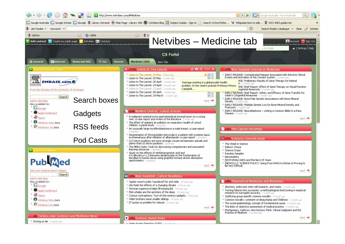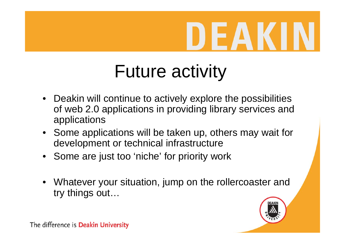# DEAK

## Future activity

- Deakin will continue to actively explore the possibilities of web 2.0 applications in providing library services and applications
- Some applications will be taken up, others may wait for development or technical infrastructure
- Some are just too 'niche' for priority work
- • Whatever your situation, jump on the rollercoaster and try things out…

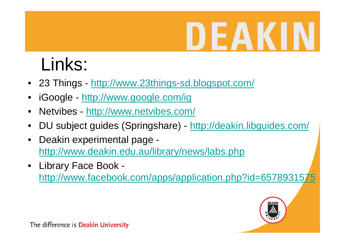# $\blacksquare$

## Links:

- 23 Things http://www.23things-sd.blogspot.com/
- •iGoogle - http://www.google.com/ig
- •Netvibes - http://www.netvibes.com/
- •DU subject guides (Springshare) - http://deakin.libguides.com/
- • Deakin experimental page http://www.deakin.edu.au/library/news/labs.php
- $\bullet$  Library Face Book http://www.facebook.com/apps/application.php?id=6578931575